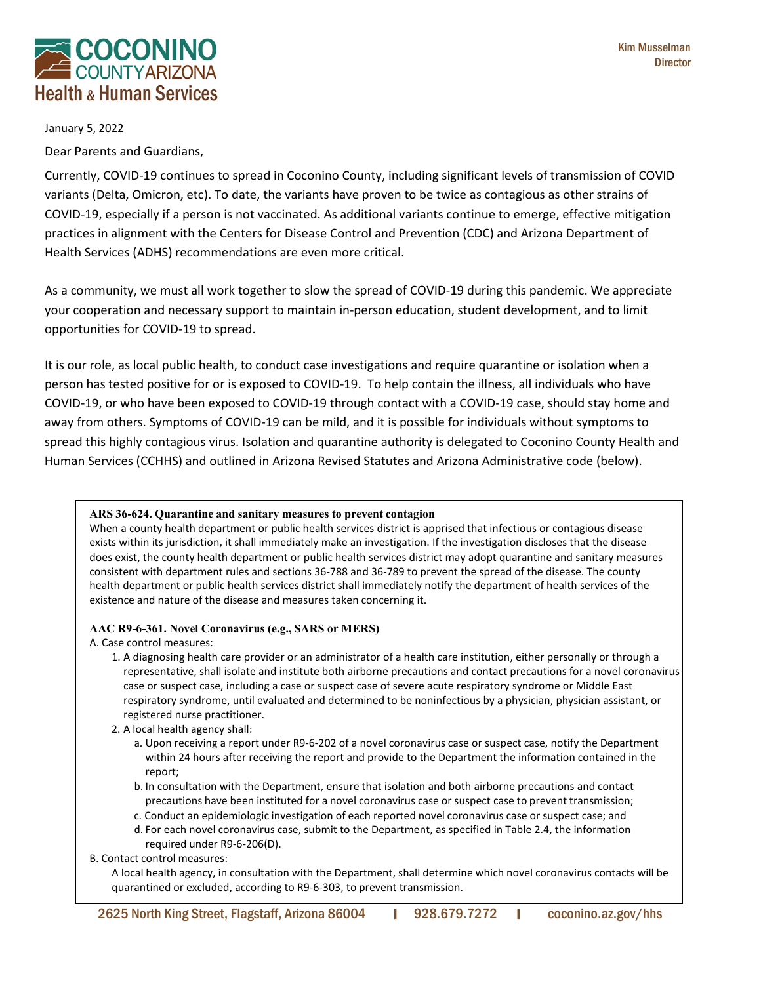

January 5, 2022

Dear Parents and Guardians,

Currently, COVID-19 continues to spread in Coconino County, including significant levels of transmission of COVID variants (Delta, Omicron, etc). To date, the variants have proven to be twice as contagious as other strains of COVID-19, especially if a person is not vaccinated. As additional variants continue to emerge, effective mitigation practices in alignment with the Centers for Disease Control and Prevention (CDC) and Arizona Department of Health Services (ADHS) recommendations are even more critical.

As a community, we must all work together to slow the spread of COVID-19 during this pandemic. We appreciate your cooperation and necessary support to maintain in-person education, student development, and to limit opportunities for COVID-19 to spread.

It is our role, as local public health, to conduct case investigations and require quarantine or isolation when a person has tested positive for or is exposed to COVID-19. To help contain the illness, all individuals who have COVID-19, or who have been exposed to COVID-19 through contact with a COVID-19 case, should stay home and away from others. Symptoms of COVID-19 can be mild, and it is possible for individuals without symptoms to spread this highly contagious virus. Isolation and quarantine authority is delegated to Coconino County Health and Human Services (CCHHS) and outlined in Arizona Revised Statutes and Arizona Administrative code (below).

### **ARS 36-624. Quarantine and sanitary measures to prevent contagion**

When a county health department or public health services district is apprised that infectious or contagious disease exists within its jurisdiction, it shall immediately make an investigation. If the investigation discloses that the disease does exist, the county health department or public health services district may adopt quarantine and sanitary measures consistent with department rules and sections 36-788 and 36-789 to prevent the spread of the disease. The county health department or public health services district shall immediately notify the department of health services of the existence and nature of the disease and measures taken concerning it.

### **AAC R9-6-361. Novel Coronavirus (e.g., SARS or MERS)**

A. Case control measures:

- 1. A diagnosing health care provider or an administrator of a health care institution, either personally or through a representative, shall isolate and institute both airborne precautions and contact precautions for a novel coronavirus case or suspect case, including a case or suspect case of severe acute respiratory syndrome or Middle East respiratory syndrome, until evaluated and determined to be noninfectious by a physician, physician assistant, or registered nurse practitioner.
- 2. A local health agency shall:
	- a. Upon receiving a report under R9-6-202 of a novel coronavirus case or suspect case, notify the Department within 24 hours after receiving the report and provide to the Department the information contained in the report;
	- b. In consultation with the Department, ensure that isolation and both airborne precautions and contact precautions have been instituted for a novel coronavirus case or suspect case to prevent transmission;
	- c. Conduct an epidemiologic investigation of each reported novel coronavirus case or suspect case; and
	- d. For each novel coronavirus case, submit to the Department, as specified in Table 2.4, the information required under R9-6-206(D).
- B. Contact control measures:

A local health agency, in consultation with the Department, shall determine which novel coronavirus contacts will be quarantined or excluded, according to R9-6-303, to prevent transmission.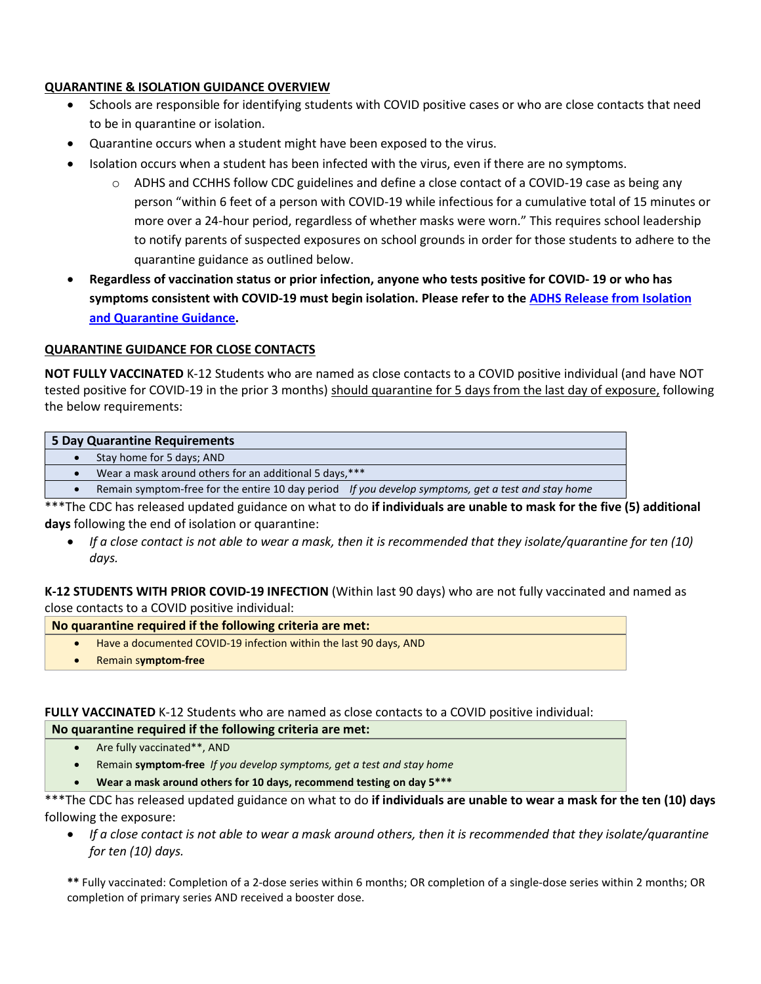# **QUARANTINE & ISOLATION GUIDANCE OVERVIEW**

- Schools are responsible for identifying students with COVID positive cases or who are close contacts that need to be in quarantine or isolation.
- Quarantine occurs when a student might have been exposed to the virus.
- Isolation occurs when a student has been infected with the virus, even if there are no symptoms.
	- $\circ$  ADHS and CCHHS follow CDC guidelines and define a close contact of a COVID-19 case as being any person "within 6 feet of a person with COVID-19 while infectious for a cumulative total of 15 minutes or more over a 24-hour period, regardless of whether masks were worn." This requires school leadership to notify parents of suspected exposures on school grounds in order for those students to adhere to the quarantine guidance as outlined below.
- **Regardless of vaccination status or prior infection, anyone who tests positive for COVID- 19 or who has symptoms consistent with COVID-19 must begin isolation. Please refer to the [ADHS Release from Isolation](https://www.azdhs.gov/covid19/documents/public-health-resources/release-from-isolation-flow-chart.pdf)  [and Quarantine Guidance.](https://www.azdhs.gov/covid19/documents/public-health-resources/release-from-isolation-flow-chart.pdf)**

## **QUARANTINE GUIDANCE FOR CLOSE CONTACTS**

**NOT FULLY VACCINATED** K-12 Students who are named as close contacts to a COVID positive individual (and have NOT tested positive for COVID-19 in the prior 3 months) should quarantine for 5 days from the last day of exposure, following the below requirements:

| 5 Day Quarantine Requirements |                                                                                                    |  |
|-------------------------------|----------------------------------------------------------------------------------------------------|--|
|                               | Stay home for 5 days; AND                                                                          |  |
|                               | Wear a mask around others for an additional 5 days, ***                                            |  |
|                               | Remain symptom-free for the entire 10 day period If you develop symptoms, get a test and stay home |  |

\*\*\*The CDC has released updated guidance on what to do **if individuals are unable to mask for the five (5) additional days** following the end of isolation or quarantine:

• *If a close contact is not able to wear a mask, then it is recommended that they isolate/quarantine for ten (10) days.* 

**K-12 STUDENTS WITH PRIOR COVID-19 INFECTION** (Within last 90 days) who are not fully vaccinated and named as close contacts to a COVID positive individual:

## **No quarantine required if the following criteria are met:**

- Have a documented COVID-19 infection within the last 90 days, AND
- Remain s**ymptom-free**

## **FULLY VACCINATED** K-12 Students who are named as close contacts to a COVID positive individual:

| No quarantine required if the following criteria are met: |                                                                       |
|-----------------------------------------------------------|-----------------------------------------------------------------------|
|                                                           | Are fully vaccinated**, AND                                           |
|                                                           | Remain symptom-free If you develop symptoms, get a test and stay home |
|                                                           | Wear a mask around others for 10 days, recommend testing on day 5***  |

- \*\*\*The CDC has released updated guidance on what to do **if individuals are unable to wear a mask for the ten (10) days**  following the exposure:
	- *If a close contact is not able to wear a mask around others, then it is recommended that they isolate/quarantine for ten (10) days.*

**\*\*** Fully vaccinated: Completion of a 2-dose series within 6 months; OR completion of a single-dose series within 2 months; OR completion of primary series AND received a booster dose.